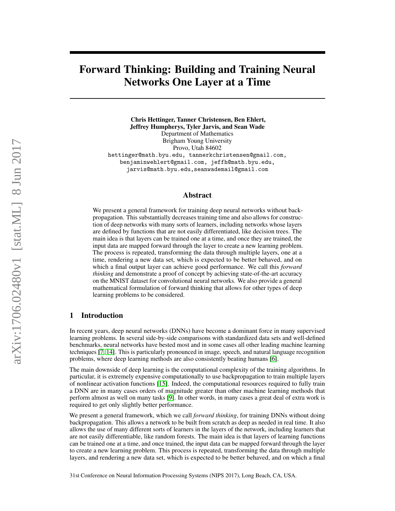# Forward Thinking: Building and Training Neural Networks One Layer at a Time

Chris Hettinger, Tanner Christensen, Ben Ehlert, Jeffrey Humpherys, Tyler Jarvis, and Sean Wade Department of Mathematics Brigham Young University Provo, Utah 84602 hettinger@math.byu.edu, tannerkchristensen@gmail.com, benjaminwehlert@gmail.com, jeffh@math.byu.edu, jarvis@math.byu.edu,seanwademail@gmail.com

# Abstract

We present a general framework for training deep neural networks without backpropagation. This substantially decreases training time and also allows for construction of deep networks with many sorts of learners, including networks whose layers are defined by functions that are not easily differentiated, like decision trees. The main idea is that layers can be trained one at a time, and once they are trained, the input data are mapped forward through the layer to create a new learning problem. The process is repeated, transforming the data through multiple layers, one at a time, rendering a new data set, which is expected to be better behaved, and on which a final output layer can achieve good performance. We call this *forward thinking* and demonstrate a proof of concept by achieving state-of-the-art accuracy on the MNIST dataset for convolutional neural networks. We also provide a general mathematical formulation of forward thinking that allows for other types of deep learning problems to be considered.

# 1 Introduction

In recent years, deep neural networks (DNNs) have become a dominant force in many supervised learning problems. In several side-by-side comparisons with standardized data sets and well-defined benchmarks, neural networks have bested most and in some cases all other leading machine learning techniques [\[7,](#page-8-0) [14\]](#page-8-1). This is particularly pronounced in image, speech, and natural language recognition problems, where deep learning methods are also consistently beating humans [\[6\]](#page-8-2).

The main downside of deep learning is the computational complexity of the training algorithms. In particular, it is extremely expensive computationally to use backpropagation to train multiple layers of nonlinear activation functions [\[15\]](#page-8-3). Indeed, the computational resources required to fully train a DNN are in many cases orders of magnitude greater than other machine learning methods that perform almost as well on many tasks [\[9\]](#page-8-4). In other words, in many cases a great deal of extra work is required to get only slightly better performance.

We present a general framework, which we call *forward thinking*, for training DNNs without doing backpropagation. This allows a network to be built from scratch as deep as needed in real time. It also allows the use of many different sorts of learners in the layers of the network, including learners that are not easily differentiable, like random forests. The main idea is that layers of learning functions can be trained one at a time, and once trained, the input data can be mapped forward through the layer to create a new learning problem. This process is repeated, transforming the data through multiple layers, and rendering a new data set, which is expected to be better behaved, and on which a final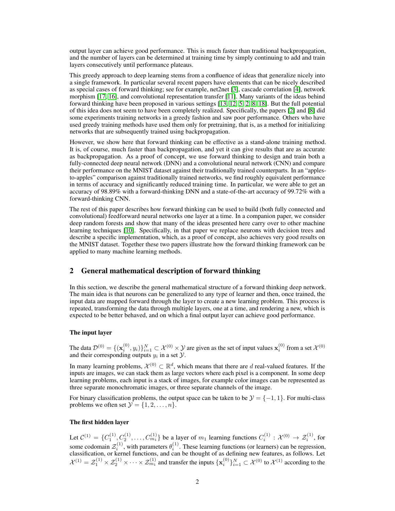output layer can achieve good performance. This is much faster than traditional backpropagation, and the number of layers can be determined at training time by simply continuing to add and train layers consecutively until performance plateaus.

This greedy approach to deep learning stems from a confluence of ideas that generalize nicely into a single framework. In particular several recent papers have elements that can be nicely described as special cases of forward thinking; see for example, net2net [\[3\]](#page-7-0), cascade correlation [\[4\]](#page-7-1), network morphism [\[17,](#page-8-5) [16\]](#page-8-6), and convolutional representation transfer [\[11\]](#page-8-7). Many variants of the ideas behind forward thinking have been proposed in various settings [\[13,](#page-8-8) [12,](#page-8-9) [5,](#page-7-2) [2,](#page-7-3) [8,](#page-8-10) [18\]](#page-8-11). But the full potential of this idea does not seem to have been completely realized. Specifically, the papers [\[2\]](#page-7-3) and [\[8\]](#page-8-10) did some experiments training networks in a greedy fashion and saw poor performance. Others who have used greedy training methods have used them only for pretraining, that is, as a method for initializing networks that are subsequently trained using backpropagation.

However, we show here that forward thinking can be effective as a stand-alone training method. It is, of course, much faster than backpropagation, and yet it can give results that are as accurate as backpropagation. As a proof of concept, we use forward thinking to design and train both a fully-connected deep neural network (DNN) and a convolutional neural network (CNN) and compare their performance on the MNIST dataset against their traditionally trained counterparts. In an "applesto-apples" comparison against traditionally trained networks, we find roughly equivalent performance in terms of accuracy and significantly reduced training time. In particular, we were able to get an accuracy of 98.89% with a forward-thinking DNN and a state-of-the-art accuracy of 99.72% with a forward-thinking CNN.

The rest of this paper describes how forward thinking can be used to build (both fully connected and convolutional) feedforward neural networks one layer at a time. In a companion paper, we consider deep random forests and show that many of the ideas presented here carry over to other machine learning techniques [\[10\]](#page-8-12). Specifically, in that paper we replace neurons with decision trees and describe a specific implementation, which, as a proof of concept, also achieves very good results on the MNIST dataset. Together these two papers illustrate how the forward thinking framework can be applied to many machine learning methods.

## 2 General mathematical description of forward thinking

In this section, we describe the general mathematical structure of a forward thinking deep network. The main idea is that neurons can be generalized to any type of learner and then, once trained, the input data are mapped forward through the layer to create a new learning problem. This process is repeated, transforming the data through multiple layers, one at a time, and rendering a new, which is expected to be better behaved, and on which a final output layer can achieve good performance.

#### The input layer

The data  $\mathcal{D}^{(0)} = \{(\mathbf{x}_i^{(0)}, y_i)\}_{i=1}^N \subset \mathcal{X}^{(0)} \times \mathcal{Y}$  are given as the set of input values  $\mathbf{x}_i^{(0)}$  from a set  $\mathcal{X}^{(0)}$ and their corresponding outputs  $y_i$  in a set  $\mathcal{Y}$ .

In many learning problems,  $\mathcal{X}^{(0)} \subset \mathbb{R}^d$ , which means that there are d real-valued features. If the inputs are images, we can stack them as large vectors where each pixel is a component. In some deep learning problems, each input is a stack of images, for example color images can be represented as three separate monochromatic images, or three separate channels of the image.

For binary classification problems, the output space can be taken to be  $\mathcal{Y} = \{-1, 1\}$ . For multi-class problems we often set  $\mathcal{Y} = \{1, 2, \ldots, n\}.$ 

#### The first hidden layer

Let  $C^{(1)} = \{C_1^{(1)}, C_2^{(1)}, \ldots, C_{m_1}^{(1)}\}$  be a layer of  $m_1$  learning functions  $C_i^{(1)} : \mathcal{X}^{(0)} \to \mathcal{Z}_i^{(1)}$ , for some codomain  $\mathcal{Z}_i^{(1)}$ , with parameters  $\theta_i^{(1)}$ . These learning functions (or learners) can be regression, classification, or kernel functions, and can be thought of as defining new features, as follows. Let  $\mathcal{X}^{(1)} = \mathcal{Z}_1^{(1)} \times \mathcal{Z}_2^{(1)} \times \cdots \times \mathcal{Z}_{m_1}^{(1)}$  and transfer the inputs  $\{\mathbf{x}_i^{(0)}\}_{i=1}^N \subset \mathcal{X}^{(0)}$  to  $\mathcal{X}^{(1)}$  according to the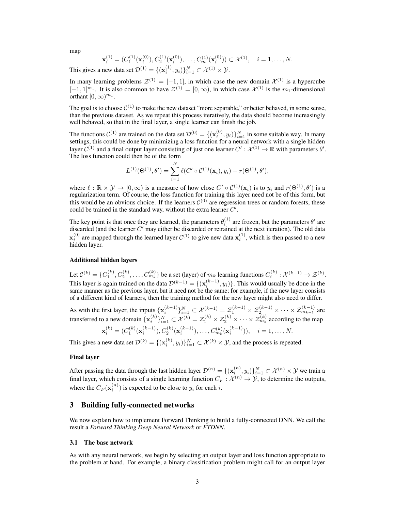map

$$
\mathbf{x}_{i}^{(1)} = (C_{1}^{(1)}(\mathbf{x}_{i}^{(0)}), C_{2}^{(1)}(\mathbf{x}_{i}^{(0)}), \dots, C_{m}^{(1)}(\mathbf{x}_{i}^{(0)})) \subset \mathcal{X}^{(1)}, \quad i = 1, \dots, N.
$$

This gives a new data set  $\mathcal{D}^{(1)} = \{(\mathbf{x}_i^{(1)}, y_i)\}_{i=1}^N \subset \mathcal{X}^{(1)} \times \mathcal{Y}$ .

In many learning problems  $\mathcal{Z}^{(1)} = [-1,1]$ , in which case the new domain  $\mathcal{X}^{(1)}$  is a hypercube  $[-1,1]^{m_1}$ . It is also common to have  $\mathcal{Z}^{(1)} = [0,\infty)$ , in which case  $\mathcal{X}^{(1)}$  is the  $m_1$ -dimensional orthant  $[0, \infty)^{m_1}$ .

The goal is to choose  $C^{(1)}$  to make the new dataset "more separable," or better behaved, in some sense, than the previous dataset. As we repeat this process iteratively, the data should become increasingly well behaved, so that in the final layer, a single learner can finish the job.

The functions  $C^{(1)}$  are trained on the data set  $\mathcal{D}^{(0)} = \{(\mathbf{x}_i^{(0)}, y_i)\}_{i=1}^N$  in some suitable way. In many settings, this could be done by minimizing a loss function for a neural network with a single hidden layer  $C^{(1)}$  and a final output layer consisting of just one learner  $C': \mathcal{X}^{(1)} \to \mathbb{R}$  with parameters  $\theta'.$ The loss function could then be of the form

$$
L^{(1)}(\Theta^{(1)},\theta') = \sum_{i=1}^{N} \ell(C' \circ C^{(1)}(\mathbf{x}_i), y_i) + r(\Theta^{(1)},\theta'),
$$

where  $\ell : \mathbb{R} \times \mathcal{Y} \to [0, \infty)$  is a measure of how close  $C' \circ C^{(1)}(\mathbf{x}_i)$  is to  $y_i$  and  $r(\Theta^{(1)}, \theta')$  is a regularization term. Of course, the loss function for training this layer need not be of this form, but this would be an obvious choice. If the learners  $C^{(0)}$  are regression trees or random forests, these could be trained in the standard way, without the extra learner  $C'$ .

The key point is that once they are learned, the parameters  $\theta_i^{(1)}$  are frozen, but the parameters  $\theta'$  are discarded (and the learner  $C'$  may either be discarded or retrained at the next iteration). The old data  $\mathbf{x}_i^{(0)}$  are mapped through the learned layer  $C^{(1)}$  to give new data  $\mathbf{x}_i^{(1)}$ , which is then passed to a new hidden layer.

#### Additional hidden layers

Let  $\mathcal{C}^{(k)} = \{C_1^{(k)}, C_2^{(k)}, \dots, C_{m_k}^{(k)}\}$  be a set (layer) of  $m_k$  learning functions  $C_i^{(k)} : \mathcal{X}^{(k-1)} \to \mathcal{Z}^{(k)}$ . This layer is again trained on the data  $\mathcal{D}^{(k-1)} = \{(\mathbf{x}_i^{(k-1)}, y_i)\}\.$  This would usually be done in the same manner as the previous layer, but it need not be the same; for example, if the new layer consists of a different kind of learners, then the training method for the new layer might also need to differ.

As with the first layer, the inputs  $\{x_i^{(k-1)}\}_{i=1}^N \subset \mathcal{X}^{(k-1)} = \mathcal{Z}_1^{(k-1)} \times \mathcal{Z}_2^{(k-1)} \times \cdots \times \mathcal{Z}_{m_{k-1}}^{(k-1)}$  are transferred to a new domain  $\{x_i^{(k)}\}_{i=1}^N \subset \mathcal{X}^{(k)} = \mathcal{Z}_1^{(k)} \times \mathcal{Z}_2^{(k)} \times \cdots \times \mathcal{Z}_{m_k}^{(k)}$  according to the map  $\mathbf{x}_{i}^{(k)} = (C_1^{(k)}(\mathbf{x}_{i}^{(k-1)}), C_2^{(k)}(\mathbf{x}_{i}^{(k-1)}), \dots, C_{m_k}^{(k)}(\mathbf{x}_{i}^{(k-1)})), \quad i = 1, \dots, N.$ 

This gives a new data set  $\mathcal{D}^{(k)} = \{(\mathbf{x}_i^{(k)}, y_i)\}_{i=1}^N \subset \mathcal{X}^{(k)} \times \mathcal{Y}$ , and the process is repeated.

#### Final layer

After passing the data through the last hidden layer  $\mathcal{D}^{(n)} = \{(\mathbf{x}_i^{(n)}, y_i)\}_{i=1}^N \subset \mathcal{X}^{(n)} \times \mathcal{Y}$  we train a final layer, which consists of a single learning function  $C_F : \mathcal{X}^{(n)} \to \mathcal{Y}$ , to determine the outputs, where the  $C_F(\mathbf{x}_i^{(n)})$  is expected to be close to  $y_i$  for each i.

# 3 Building fully-connected networks

We now explain how to implement Forward Thinking to build a fully-connected DNN. We call the result a *Forward Thinking Deep Neural Network* or *FTDNN*.

## 3.1 The base network

As with any neural network, we begin by selecting an output layer and loss function appropriate to the problem at hand. For example, a binary classification problem might call for an output layer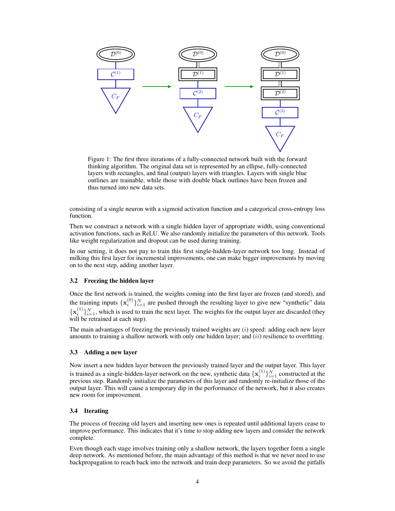

Figure 1: The first three iterations of a fully-connected network built with the forward thinking algorithm. The original data set is represented by an ellipse, fully-connected layers with rectangles, and final (output) layers with triangles. Layers with single blue outlines are trainable, while those with double black outlines have been frozen and thus turned into new data sets.

consisting of a single neuron with a sigmoid activation function and a categorical cross-entropy loss function.

Then we construct a network with a single hidden layer of appropriate width, using conventional activation functions, such as ReLU. We also randomly initialize the parameters of this network. Tools like weight regularization and dropout can be used during training.

In our setting, it does not pay to train this first single-hidden-layer network too long. Instead of milking this first layer for incremental improvements, one can make bigger improvements by moving on to the next step, adding another layer.

## 3.2 Freezing the hidden layer

Once the first network is trained, the weights coming into the first layer are frozen (and stored), and the training inputs  $\{x_i^{(0)}\}_{i=1}^N$  are pushed through the resulting layer to give new "synthetic" data  ${x_i^{(1)}}_{i=1}^N$ , which is used to train the next layer. The weights for the output layer are discarded (they will be retrained at each step).

The main advantages of freezing the previously trained weights are  $(i)$  speed: adding each new layer amounts to training a shallow network with only one hidden layer; and  $(ii)$  resilience to overfitting.

#### 3.3 Adding a new layer

Now insert a new hidden layer between the previously trained layer and the output layer. This layer is trained as a single-hidden-layer network on the new, synthetic data  $\{x_i^{(1)}\}_{i=1}^N$  constructed at the previous step. Randomly initialize the parameters of this layer and randomly re-initialize those of the output layer. This will cause a temporary dip in the performance of the network, but it also creates new room for improvement.

## 3.4 Iterating

The process of freezing old layers and inserting new ones is repeated until additional layers cease to improve performance. This indicates that it's time to stop adding new layers and consider the network complete.

Even though each stage involves training only a shallow network, the layers together form a single deep network. As mentioned before, the main advantage of this method is that we never need to use backpropagation to reach back into the network and train deep parameters. So we avoid the pitfalls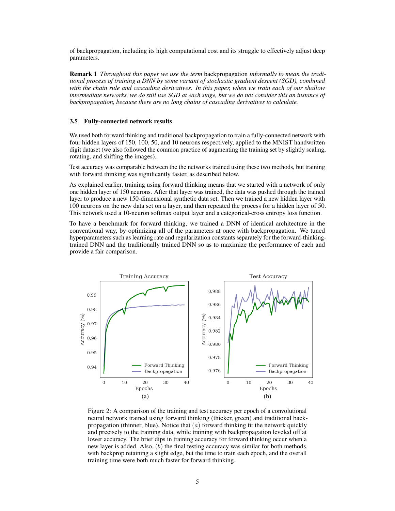of backpropagation, including its high computational cost and its struggle to effectively adjust deep parameters.

Remark 1 *Throughout this paper we use the term* backpropagation *informally to mean the traditional process of training a DNN by some variant of stochastic gradient descent (SGD), combined with the chain rule and cascading derivatives. In this paper, when we train each of our shallow intermediate networks, we do still use SGD at each stage, but we do not consider this an instance of backpropagation, because there are no long chains of cascading derivatives to calculate.*

## 3.5 Fully-connected network results

We used both forward thinking and traditional backpropagation to train a fully-connected network with four hidden layers of 150, 100, 50, and 10 neurons respectively, applied to the MNIST handwritten digit dataset (we also followed the common practice of augmenting the training set by slightly scaling, rotating, and shifting the images).

Test accuracy was comparable between the the networks trained using these two methods, but training with forward thinking was significantly faster, as described below.

As explained earlier, training using forward thinking means that we started with a network of only one hidden layer of 150 neurons. After that layer was trained, the data was pushed through the trained layer to produce a new 150-dimensional synthetic data set. Then we trained a new hidden layer with 100 neurons on the new data set on a layer, and then repeated the process for a hidden layer of 50. This network used a 10-neuron softmax output layer and a categorical-cross entropy loss function.

To have a benchmark for forward thinking, we trained a DNN of identical architecture in the conventional way, by optimizing all of the parameters at once with backpropagation. We tuned hyperparameters such as learning rate and regularization constants separately for the forward-thinkingtrained DNN and the traditionally trained DNN so as to maximize the performance of each and provide a fair comparison.

<span id="page-4-0"></span>

Figure 2: A comparison of the training and test accuracy per epoch of a convolutional neural network trained using forward thinking (thicker, green) and traditional backpropagation (thinner, blue). Notice that  $(a)$  forward thinking fit the network quickly and precisely to the training data, while training with backpropagation leveled off at lower accuracy. The brief dips in training accuracy for forward thinking occur when a new layer is added. Also,  $(b)$  the final testing accuracy was similar for both methods, with backprop retaining a slight edge, but the time to train each epoch, and the overall training time were both much faster for forward thinking.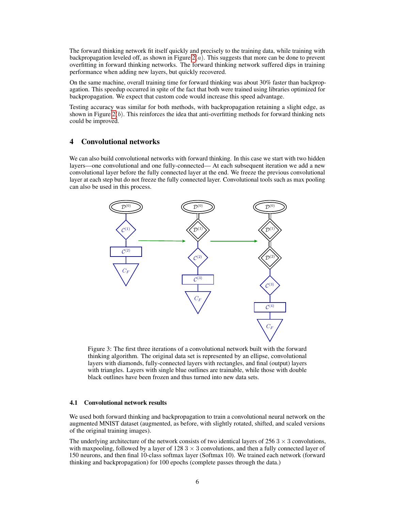The forward thinking network fit itself quickly and precisely to the training data, while training with backpropagation leveled off, as shown in Figure  $2(a)$ . This suggests that more can be done to prevent overfitting in forward thinking networks. The forward thinking network suffered dips in training performance when adding new layers, but quickly recovered.

On the same machine, overall training time for forward thinking was about 30% faster than backpropagation. This speedup occurred in spite of the fact that both were trained using libraries optimized for backpropagation. We expect that custom code would increase this speed advantage.

Testing accuracy was similar for both methods, with backpropagation retaining a slight edge, as shown in Figure  $2(b)$ . This reinforces the idea that anti-overfitting methods for forward thinking nets could be improved.

# 4 Convolutional networks

We can also build convolutional networks with forward thinking. In this case we start with two hidden layers—one convolutional and one fully-connected— At each subsequent iteration we add a new convolutional layer before the fully connected layer at the end. We freeze the previous convolutional layer at each step but do not freeze the fully connected layer. Convolutional tools such as max pooling can also be used in this process.



Figure 3: The first three iterations of a convolutional network built with the forward thinking algorithm. The original data set is represented by an ellipse, convolutional layers with diamonds, fully-connected layers with rectangles, and final (output) layers with triangles. Layers with single blue outlines are trainable, while those with double black outlines have been frozen and thus turned into new data sets.

#### 4.1 Convolutional network results

We used both forward thinking and backpropagation to train a convolutional neural network on the augmented MNIST dataset (augmented, as before, with slightly rotated, shifted, and scaled versions of the original training images).

The underlying architecture of the network consists of two identical layers of  $256.3 \times 3$  convolutions. with maxpooling, followed by a layer of  $128.3 \times 3$  convolutions, and then a fully connected layer of 150 neurons, and then final 10-class softmax layer (Softmax 10). We trained each network (forward thinking and backpropagation) for 100 epochs (complete passes through the data.)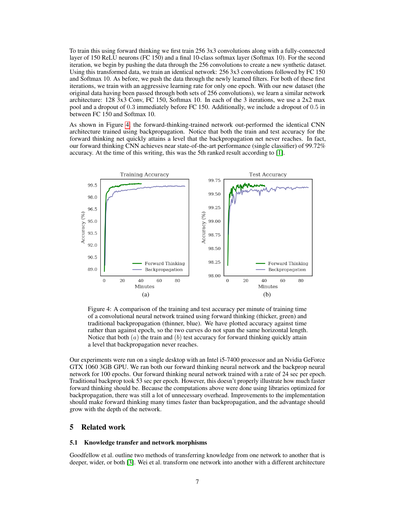To train this using forward thinking we first train 256 3x3 convolutions along with a fully-connected layer of 150 ReLU neurons (FC 150) and a final 10-class softmax layer (Softmax 10). For the second iteration, we begin by pushing the data through the 256 convolutions to create a new synthetic dataset. Using this transformed data, we train an identical network: 256 3x3 convolutions followed by FC 150 and Softmax 10. As before, we push the data through the newly learned filters. For both of these first iterations, we train with an aggressive learning rate for only one epoch. With our new dataset (the original data having been passed through both sets of 256 convolutions), we learn a similar network architecture: 128 3x3 Conv, FC 150, Softmax 10. In each of the 3 iterations, we use a 2x2 max pool and a dropout of 0.3 immediately before FC 150. Additionally, we include a dropout of 0.5 in between FC 150 and Softmax 10.

As shown in Figure [4,](#page-6-0) the forward-thinking-trained network out-performed the identical CNN architecture trained using backpropagation. Notice that both the train and test accuracy for the forward thinking net quickly attains a level that the backpropagation net never reaches. In fact, our forward thinking CNN achieves near state-of-the-art performance (single classifier) of 99.72% accuracy. At the time of this writing, this was the 5th ranked result according to [\[1\]](#page-7-4).

<span id="page-6-0"></span>

Figure 4: A comparison of the training and test accuracy per minute of training time of a convolutional neural network trained using forward thinking (thicker, green) and traditional backpropagation (thinner, blue). We have plotted accuracy against time rather than against epoch, so the two curves do not span the same horizontal length. Notice that both  $(a)$  the train and  $(b)$  test accuracy for forward thinking quickly attain a level that backpropagation never reaches.

Our experiments were run on a single desktop with an Intel i5-7400 processor and an Nvidia GeForce GTX 1060 3GB GPU. We ran both our forward thinking neural network and the backprop neural network for 100 epochs. Our forward thinking neural network trained with a rate of 24 sec per epoch. Traditional backprop took 53 sec per epoch. However, this doesn't properly illustrate how much faster forward thinking should be. Because the computations above were done using libraries optimized for backpropagation, there was still a lot of unnecessary overhead. Improvements to the implementation should make forward thinking many times faster than backpropagation, and the advantage should grow with the depth of the network.

# 5 Related work

## 5.1 Knowledge transfer and network morphisms

Goodfellow et al. outline two methods of transferring knowledge from one network to another that is deeper, wider, or both [\[3\]](#page-7-0). Wei et al. transform one network into another with a different architecture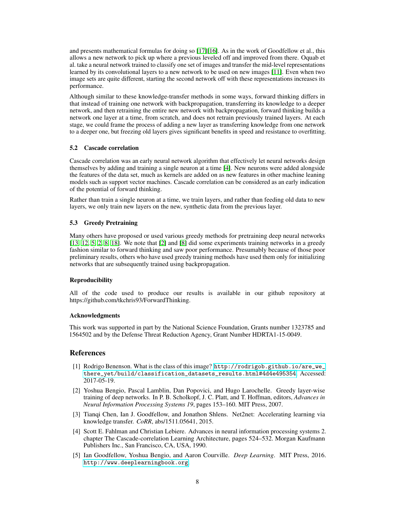and presents mathematical formulas for doing so [\[17\]](#page-8-5)[\[16\]](#page-8-6). As in the work of Goodfellow et al., this allows a new network to pick up where a previous leveled off and improved from there. Oquab et al. take a neural network trained to classify one set of images and transfer the mid-level representations learned by its convolutional layers to a new network to be used on new images [\[11\]](#page-8-7). Even when two image sets are quite different, starting the second network off with these representations increases its performance.

Although similar to these knowledge-transfer methods in some ways, forward thinking differs in that instead of training one network with backpropagation, transferring its knowledge to a deeper network, and then retraining the entire new network with backpropagation, forward thinking builds a network one layer at a time, from scratch, and does not retrain previously trained layers. At each stage, we could frame the process of adding a new layer as transferring knowledge from one network to a deeper one, but freezing old layers gives significant benefits in speed and resistance to overfitting.

## 5.2 Cascade correlation

Cascade correlation was an early neural network algorithm that effectively let neural networks design themselves by adding and training a single neuron at a time [\[4\]](#page-7-1). New neurons were added alongside the features of the data set, much as kernels are added on as new features in other machine leaning models such as support vector machines. Cascade correlation can be considered as an early indication of the potential of forward thinking.

Rather than train a single neuron at a time, we train layers, and rather than feeding old data to new layers, we only train new layers on the new, synthetic data from the previous layer.

## 5.3 Greedy Pretraining

Many others have proposed or used various greedy methods for pretraining deep neural networks [\[13,](#page-8-8) [12,](#page-8-9) [5,](#page-7-2) [2,](#page-7-3) [8,](#page-8-10) [18\]](#page-8-11). We note that [\[2\]](#page-7-3) and [\[8\]](#page-8-10) did some experiments training networks in a greedy fashion similar to forward thinking and saw poor performance. Presumably because of those poor preliminary results, others who have used greedy training methods have used them only for initializing networks that are subsequently trained using backpropagation.

## Reproducibility

All of the code used to produce our results is available in our github repository at https://github.com/tkchris93/ForwardThinking.

#### Acknowledgments

This work was supported in part by the National Science Foundation, Grants number 1323785 and 1564502 and by the Defense Threat Reduction Agency, Grant Number HDRTA1-15-0049.

## References

- <span id="page-7-4"></span>[1] Rodrigo Benenson. What is the class of this image? [http://rodrigob.github.io/are\\_we\\_](http://rodrigob.github.io/are_we_there_yet/build/classification_datasets_results.html#4d4e495354) [there\\_yet/build/classification\\_datasets\\_results.html#4d4e495354](http://rodrigob.github.io/are_we_there_yet/build/classification_datasets_results.html#4d4e495354). Accessed: 2017-05-19.
- <span id="page-7-3"></span>[2] Yoshua Bengio, Pascal Lamblin, Dan Popovici, and Hugo Larochelle. Greedy layer-wise training of deep networks. In P. B. Scholkopf, J. C. Platt, and T. Hoffman, editors, *Advances in Neural Information Processing Systems 19*, pages 153–160. MIT Press, 2007.
- <span id="page-7-0"></span>[3] Tianqi Chen, Ian J. Goodfellow, and Jonathon Shlens. Net2net: Accelerating learning via knowledge transfer. *CoRR*, abs/1511.05641, 2015.
- <span id="page-7-1"></span>[4] Scott E. Fahlman and Christian Lebiere. Advances in neural information processing systems 2. chapter The Cascade-correlation Learning Architecture, pages 524–532. Morgan Kaufmann Publishers Inc., San Francisco, CA, USA, 1990.
- <span id="page-7-2"></span>[5] Ian Goodfellow, Yoshua Bengio, and Aaron Courville. *Deep Learning*. MIT Press, 2016. <http://www.deeplearningbook.org>.